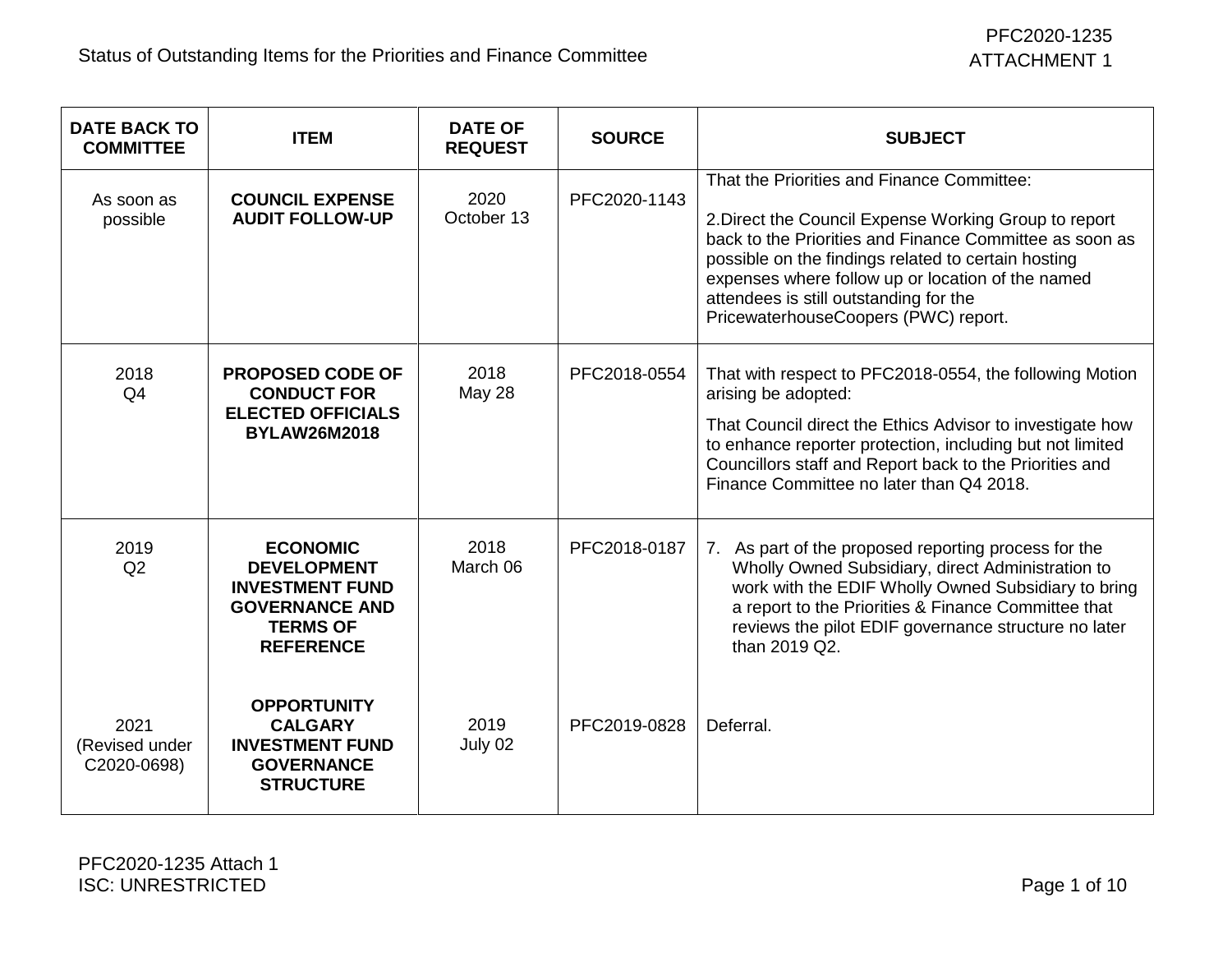| <b>DATE BACK TO</b><br><b>COMMITTEE</b> | <b>ITEM</b>                                                                                                                     | <b>DATE OF</b><br><b>REQUEST</b> | <b>SOURCE</b> | <b>SUBJECT</b>                                                                                                                                                                                                                                                                                                                                               |
|-----------------------------------------|---------------------------------------------------------------------------------------------------------------------------------|----------------------------------|---------------|--------------------------------------------------------------------------------------------------------------------------------------------------------------------------------------------------------------------------------------------------------------------------------------------------------------------------------------------------------------|
| As soon as<br>possible                  | <b>COUNCIL EXPENSE</b><br><b>AUDIT FOLLOW-UP</b>                                                                                | 2020<br>October 13               | PFC2020-1143  | That the Priorities and Finance Committee:<br>2. Direct the Council Expense Working Group to report<br>back to the Priorities and Finance Committee as soon as<br>possible on the findings related to certain hosting<br>expenses where follow up or location of the named<br>attendees is still outstanding for the<br>PricewaterhouseCoopers (PWC) report. |
| 2018<br>Q <sub>4</sub>                  | <b>PROPOSED CODE OF</b><br><b>CONDUCT FOR</b><br><b>ELECTED OFFICIALS</b><br><b>BYLAW26M2018</b>                                | 2018<br><b>May 28</b>            | PFC2018-0554  | That with respect to PFC2018-0554, the following Motion<br>arising be adopted:<br>That Council direct the Ethics Advisor to investigate how<br>to enhance reporter protection, including but not limited<br>Councillors staff and Report back to the Priorities and<br>Finance Committee no later than Q4 2018.                                              |
| 2019<br>Q2                              | <b>ECONOMIC</b><br><b>DEVELOPMENT</b><br><b>INVESTMENT FUND</b><br><b>GOVERNANCE AND</b><br><b>TERMS OF</b><br><b>REFERENCE</b> | 2018<br>March 06                 | PFC2018-0187  | 7. As part of the proposed reporting process for the<br>Wholly Owned Subsidiary, direct Administration to<br>work with the EDIF Wholly Owned Subsidiary to bring<br>a report to the Priorities & Finance Committee that<br>reviews the pilot EDIF governance structure no later<br>than 2019 Q2.                                                             |
| 2021<br>(Revised under<br>C2020-0698)   | <b>OPPORTUNITY</b><br><b>CALGARY</b><br><b>INVESTMENT FUND</b><br><b>GOVERNANCE</b><br><b>STRUCTURE</b>                         | 2019<br>July 02                  | PFC2019-0828  | Deferral.                                                                                                                                                                                                                                                                                                                                                    |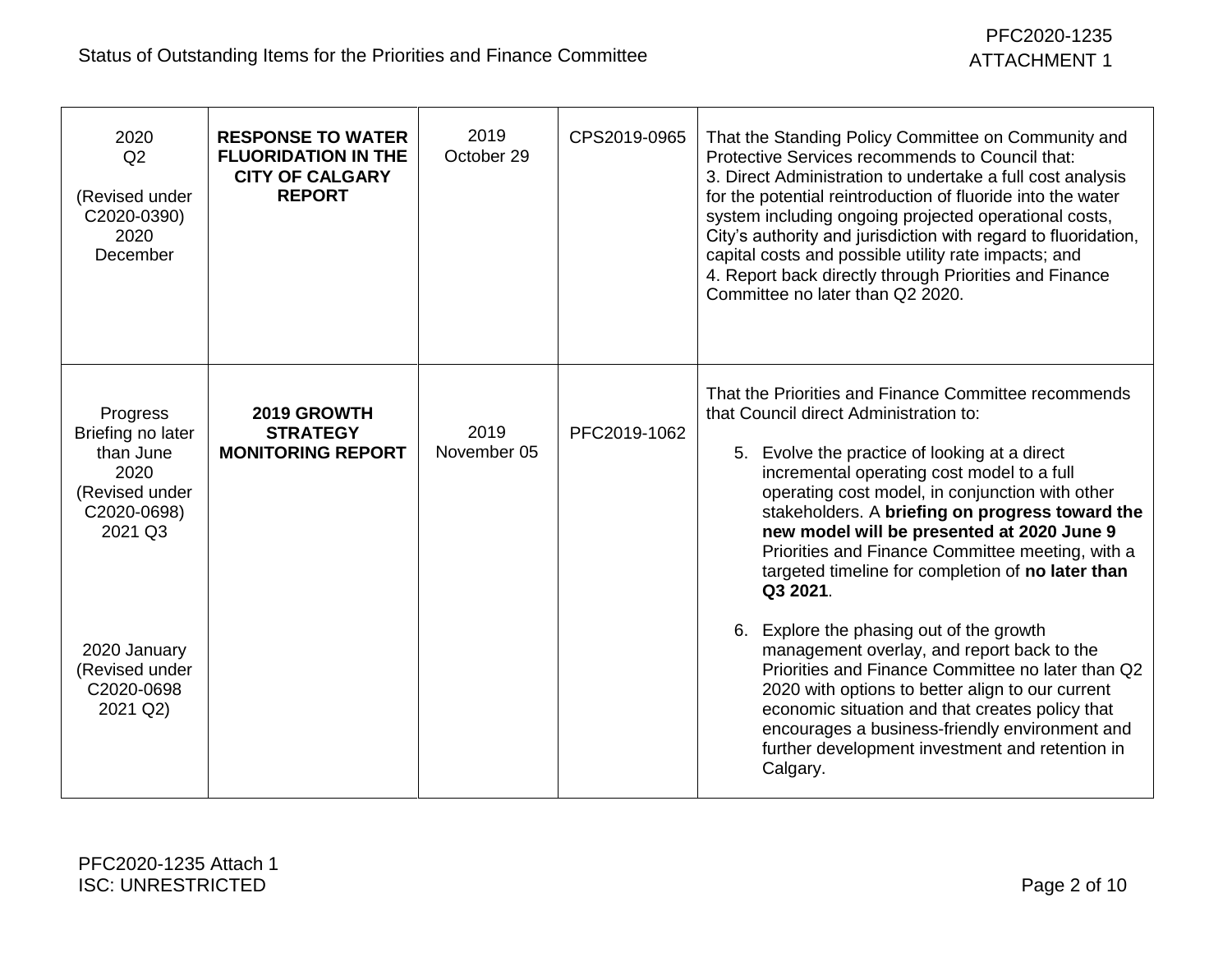| 2020<br>Q2<br>(Revised under<br>C2020-0390)<br>2020<br>December                                | <b>RESPONSE TO WATER</b><br><b>FLUORIDATION IN THE</b><br><b>CITY OF CALGARY</b><br><b>REPORT</b> | 2019<br>October 29  | CPS2019-0965 | That the Standing Policy Committee on Community and<br>Protective Services recommends to Council that:<br>3. Direct Administration to undertake a full cost analysis<br>for the potential reintroduction of fluoride into the water<br>system including ongoing projected operational costs,<br>City's authority and jurisdiction with regard to fluoridation,<br>capital costs and possible utility rate impacts; and<br>4. Report back directly through Priorities and Finance<br>Committee no later than Q2 2020. |
|------------------------------------------------------------------------------------------------|---------------------------------------------------------------------------------------------------|---------------------|--------------|----------------------------------------------------------------------------------------------------------------------------------------------------------------------------------------------------------------------------------------------------------------------------------------------------------------------------------------------------------------------------------------------------------------------------------------------------------------------------------------------------------------------|
| Progress<br>Briefing no later<br>than June<br>2020<br>(Revised under<br>C2020-0698)<br>2021 Q3 | 2019 GROWTH<br><b>STRATEGY</b><br><b>MONITORING REPORT</b>                                        | 2019<br>November 05 | PFC2019-1062 | That the Priorities and Finance Committee recommends<br>that Council direct Administration to:<br>5. Evolve the practice of looking at a direct<br>incremental operating cost model to a full<br>operating cost model, in conjunction with other<br>stakeholders. A briefing on progress toward the<br>new model will be presented at 2020 June 9<br>Priorities and Finance Committee meeting, with a<br>targeted timeline for completion of no later than<br>Q3 2021.                                               |
| 2020 January<br>(Revised under<br>C2020-0698<br>2021 Q2)                                       |                                                                                                   |                     |              | 6. Explore the phasing out of the growth<br>management overlay, and report back to the<br>Priorities and Finance Committee no later than Q2<br>2020 with options to better align to our current<br>economic situation and that creates policy that<br>encourages a business-friendly environment and<br>further development investment and retention in<br>Calgary.                                                                                                                                                  |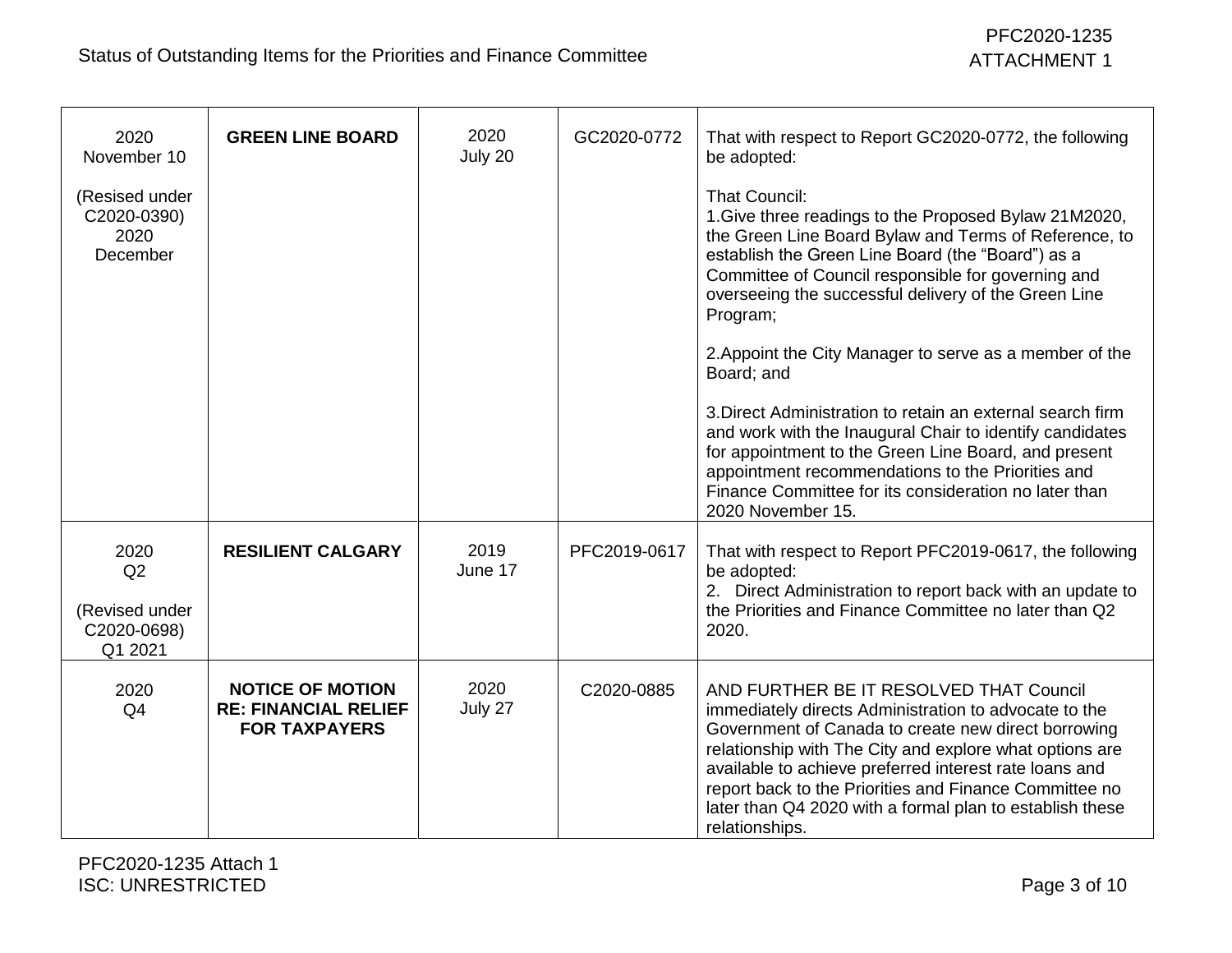| 2020<br>November 10<br>(Resised under<br>C2020-0390)<br>2020<br>December | <b>GREEN LINE BOARD</b>                                                        | 2020<br>July 20 | GC2020-0772  | That with respect to Report GC2020-0772, the following<br>be adopted:<br><b>That Council:</b><br>1. Give three readings to the Proposed Bylaw 21M2020,<br>the Green Line Board Bylaw and Terms of Reference, to<br>establish the Green Line Board (the "Board") as a<br>Committee of Council responsible for governing and<br>overseeing the successful delivery of the Green Line<br>Program;                       |
|--------------------------------------------------------------------------|--------------------------------------------------------------------------------|-----------------|--------------|----------------------------------------------------------------------------------------------------------------------------------------------------------------------------------------------------------------------------------------------------------------------------------------------------------------------------------------------------------------------------------------------------------------------|
|                                                                          |                                                                                |                 |              | 2. Appoint the City Manager to serve as a member of the<br>Board; and                                                                                                                                                                                                                                                                                                                                                |
|                                                                          |                                                                                |                 |              | 3. Direct Administration to retain an external search firm<br>and work with the Inaugural Chair to identify candidates<br>for appointment to the Green Line Board, and present<br>appointment recommendations to the Priorities and<br>Finance Committee for its consideration no later than<br>2020 November 15.                                                                                                    |
| 2020<br>Q2<br>(Revised under<br>C2020-0698)<br>Q1 2021                   | <b>RESILIENT CALGARY</b>                                                       | 2019<br>June 17 | PFC2019-0617 | That with respect to Report PFC2019-0617, the following<br>be adopted:<br>2. Direct Administration to report back with an update to<br>the Priorities and Finance Committee no later than Q2<br>2020.                                                                                                                                                                                                                |
| 2020<br>Q4                                                               | <b>NOTICE OF MOTION</b><br><b>RE: FINANCIAL RELIEF</b><br><b>FOR TAXPAYERS</b> | 2020<br>July 27 | C2020-0885   | AND FURTHER BE IT RESOLVED THAT Council<br>immediately directs Administration to advocate to the<br>Government of Canada to create new direct borrowing<br>relationship with The City and explore what options are<br>available to achieve preferred interest rate loans and<br>report back to the Priorities and Finance Committee no<br>later than Q4 2020 with a formal plan to establish these<br>relationships. |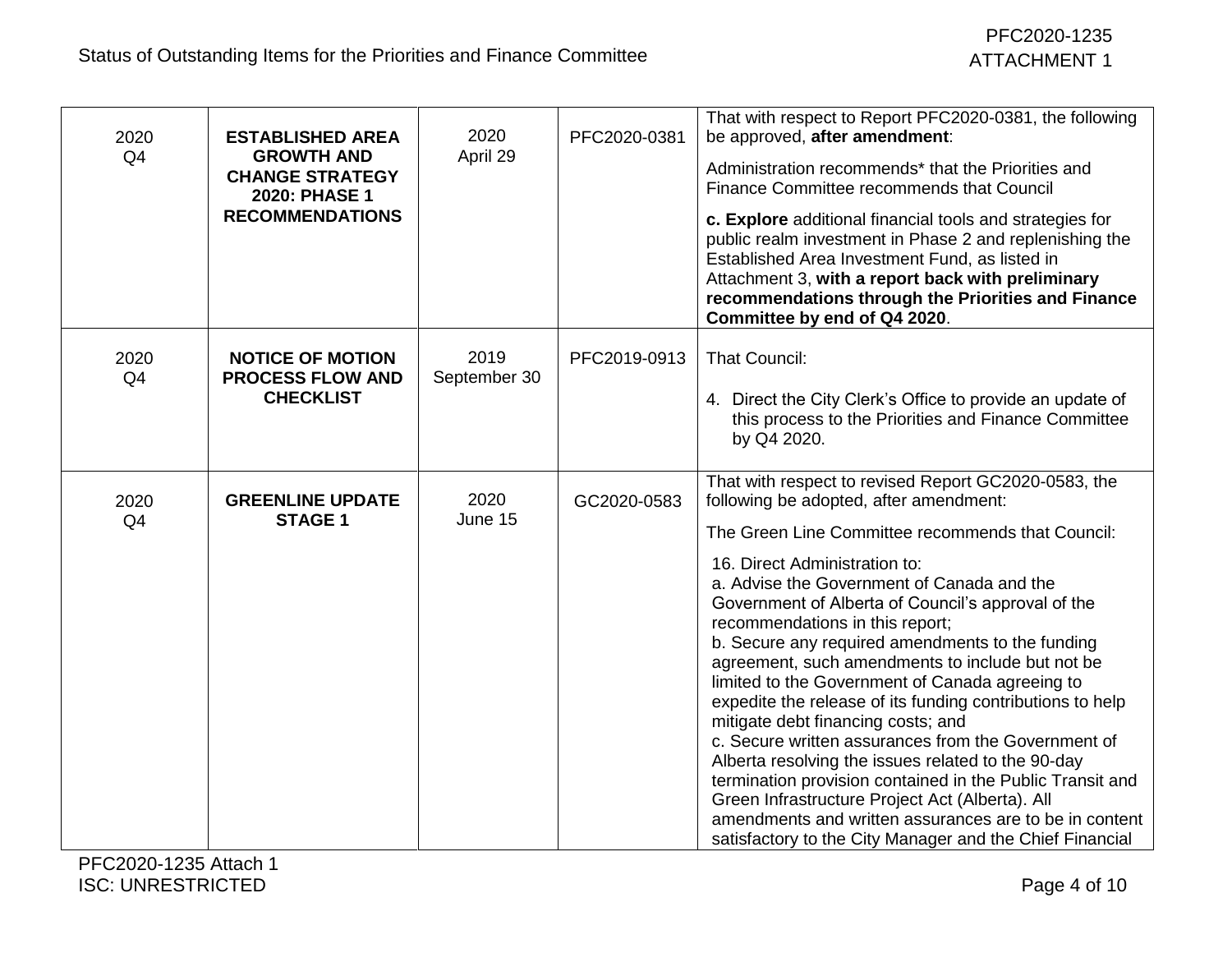| 2020<br>Q <sub>4</sub> | <b>ESTABLISHED AREA</b><br><b>GROWTH AND</b><br><b>CHANGE STRATEGY</b><br>2020: PHASE 1<br><b>RECOMMENDATIONS</b> | 2020<br>April 29     | PFC2020-0381 | That with respect to Report PFC2020-0381, the following<br>be approved, after amendment:<br>Administration recommends* that the Priorities and<br>Finance Committee recommends that Council<br>c. Explore additional financial tools and strategies for<br>public realm investment in Phase 2 and replenishing the<br>Established Area Investment Fund, as listed in<br>Attachment 3, with a report back with preliminary<br>recommendations through the Priorities and Finance<br>Committee by end of Q4 2020.                                                                                                                                                                                                                                                                                                                                                                                                                              |
|------------------------|-------------------------------------------------------------------------------------------------------------------|----------------------|--------------|----------------------------------------------------------------------------------------------------------------------------------------------------------------------------------------------------------------------------------------------------------------------------------------------------------------------------------------------------------------------------------------------------------------------------------------------------------------------------------------------------------------------------------------------------------------------------------------------------------------------------------------------------------------------------------------------------------------------------------------------------------------------------------------------------------------------------------------------------------------------------------------------------------------------------------------------|
| 2020<br>Q <sub>4</sub> | <b>NOTICE OF MOTION</b><br><b>PROCESS FLOW AND</b><br><b>CHECKLIST</b>                                            | 2019<br>September 30 | PFC2019-0913 | <b>That Council:</b><br>4. Direct the City Clerk's Office to provide an update of<br>this process to the Priorities and Finance Committee<br>by Q4 2020.                                                                                                                                                                                                                                                                                                                                                                                                                                                                                                                                                                                                                                                                                                                                                                                     |
| 2020<br>Q <sub>4</sub> | <b>GREENLINE UPDATE</b><br><b>STAGE 1</b>                                                                         | 2020<br>June 15      | GC2020-0583  | That with respect to revised Report GC2020-0583, the<br>following be adopted, after amendment:<br>The Green Line Committee recommends that Council:<br>16. Direct Administration to:<br>a. Advise the Government of Canada and the<br>Government of Alberta of Council's approval of the<br>recommendations in this report;<br>b. Secure any required amendments to the funding<br>agreement, such amendments to include but not be<br>limited to the Government of Canada agreeing to<br>expedite the release of its funding contributions to help<br>mitigate debt financing costs; and<br>c. Secure written assurances from the Government of<br>Alberta resolving the issues related to the 90-day<br>termination provision contained in the Public Transit and<br>Green Infrastructure Project Act (Alberta). All<br>amendments and written assurances are to be in content<br>satisfactory to the City Manager and the Chief Financial |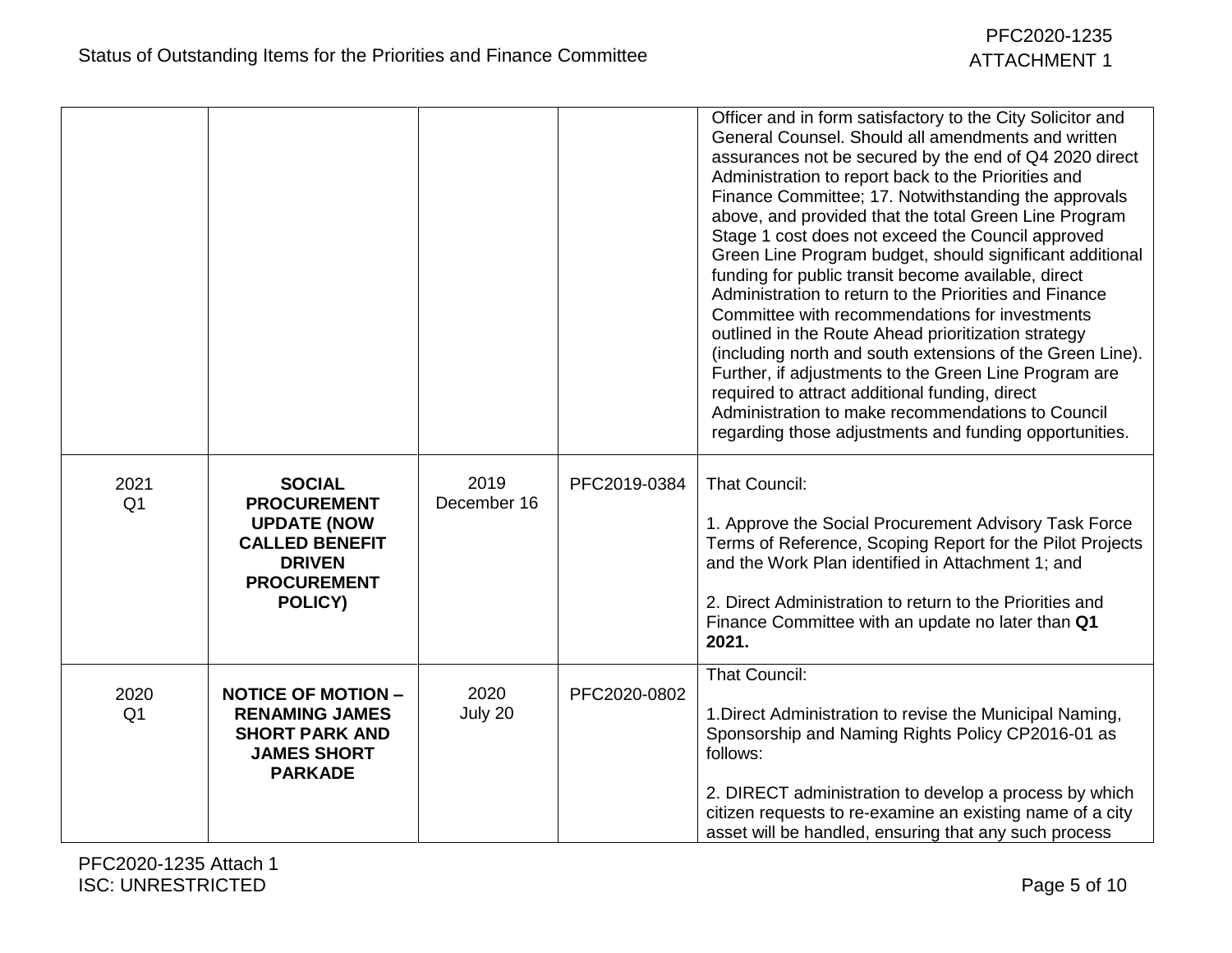|                        |                                                                                                                                      |                     |              | Officer and in form satisfactory to the City Solicitor and<br>General Counsel. Should all amendments and written<br>assurances not be secured by the end of Q4 2020 direct<br>Administration to report back to the Priorities and<br>Finance Committee; 17. Notwithstanding the approvals<br>above, and provided that the total Green Line Program<br>Stage 1 cost does not exceed the Council approved<br>Green Line Program budget, should significant additional<br>funding for public transit become available, direct<br>Administration to return to the Priorities and Finance<br>Committee with recommendations for investments<br>outlined in the Route Ahead prioritization strategy<br>(including north and south extensions of the Green Line).<br>Further, if adjustments to the Green Line Program are<br>required to attract additional funding, direct<br>Administration to make recommendations to Council<br>regarding those adjustments and funding opportunities. |
|------------------------|--------------------------------------------------------------------------------------------------------------------------------------|---------------------|--------------|--------------------------------------------------------------------------------------------------------------------------------------------------------------------------------------------------------------------------------------------------------------------------------------------------------------------------------------------------------------------------------------------------------------------------------------------------------------------------------------------------------------------------------------------------------------------------------------------------------------------------------------------------------------------------------------------------------------------------------------------------------------------------------------------------------------------------------------------------------------------------------------------------------------------------------------------------------------------------------------|
| 2021<br>Q <sub>1</sub> | <b>SOCIAL</b><br><b>PROCUREMENT</b><br><b>UPDATE (NOW</b><br><b>CALLED BENEFIT</b><br><b>DRIVEN</b><br><b>PROCUREMENT</b><br>POLICY) | 2019<br>December 16 | PFC2019-0384 | <b>That Council:</b><br>1. Approve the Social Procurement Advisory Task Force<br>Terms of Reference, Scoping Report for the Pilot Projects<br>and the Work Plan identified in Attachment 1; and<br>2. Direct Administration to return to the Priorities and<br>Finance Committee with an update no later than Q1<br>2021.                                                                                                                                                                                                                                                                                                                                                                                                                                                                                                                                                                                                                                                            |
| 2020<br>Q <sub>1</sub> | <b>NOTICE OF MOTION -</b><br><b>RENAMING JAMES</b><br><b>SHORT PARK AND</b><br><b>JAMES SHORT</b><br><b>PARKADE</b>                  | 2020<br>July 20     | PFC2020-0802 | <b>That Council:</b><br>1. Direct Administration to revise the Municipal Naming,<br>Sponsorship and Naming Rights Policy CP2016-01 as<br>follows:<br>2. DIRECT administration to develop a process by which<br>citizen requests to re-examine an existing name of a city<br>asset will be handled, ensuring that any such process                                                                                                                                                                                                                                                                                                                                                                                                                                                                                                                                                                                                                                                    |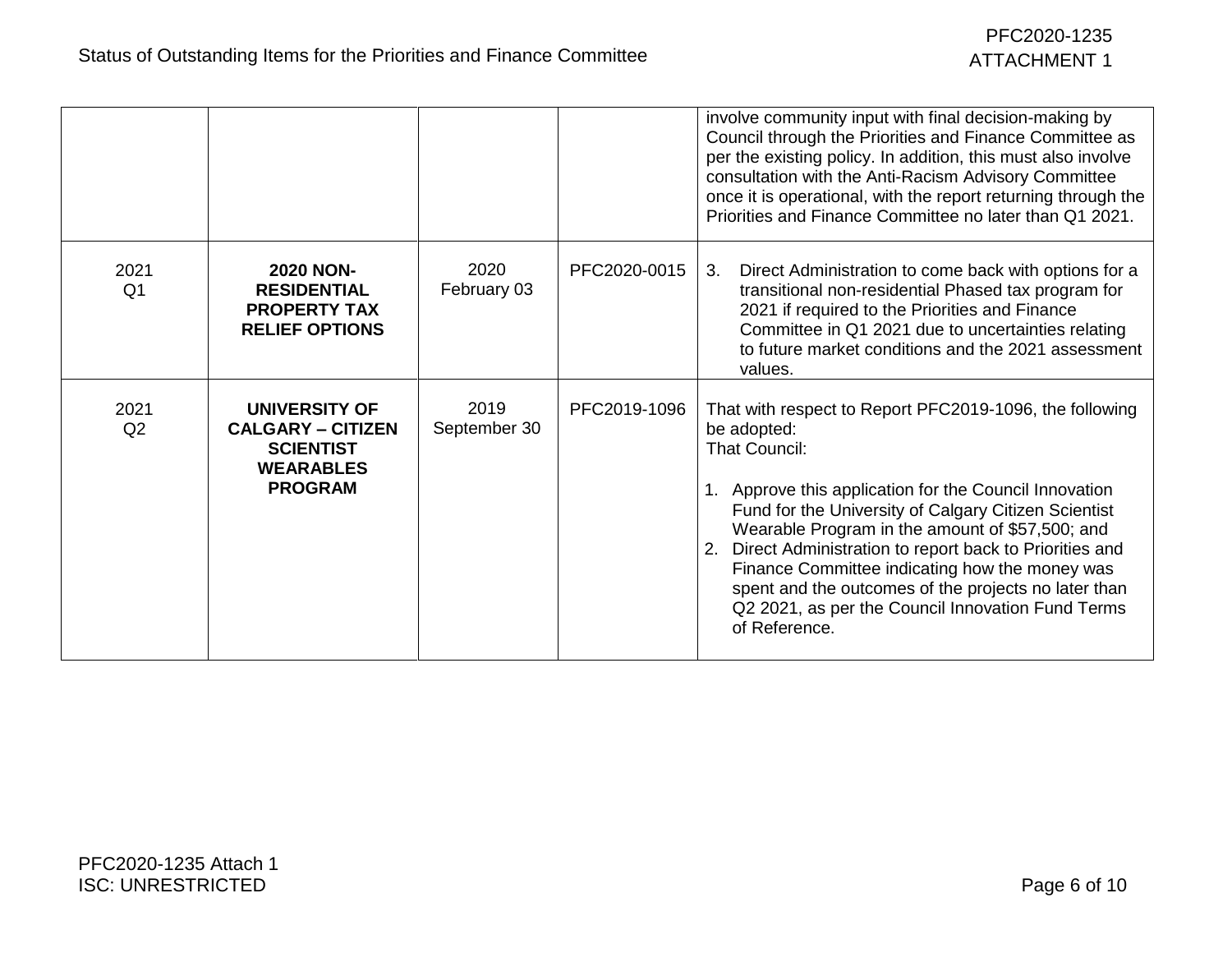|                        |                                                                                                     |                      |              | involve community input with final decision-making by<br>Council through the Priorities and Finance Committee as<br>per the existing policy. In addition, this must also involve<br>consultation with the Anti-Racism Advisory Committee<br>once it is operational, with the report returning through the<br>Priorities and Finance Committee no later than Q1 2021.                                                                                                                                          |
|------------------------|-----------------------------------------------------------------------------------------------------|----------------------|--------------|---------------------------------------------------------------------------------------------------------------------------------------------------------------------------------------------------------------------------------------------------------------------------------------------------------------------------------------------------------------------------------------------------------------------------------------------------------------------------------------------------------------|
| 2021<br>Q <sub>1</sub> | <b>2020 NON-</b><br><b>RESIDENTIAL</b><br><b>PROPERTY TAX</b><br><b>RELIEF OPTIONS</b>              | 2020<br>February 03  | PFC2020-0015 | Direct Administration to come back with options for a<br>3.<br>transitional non-residential Phased tax program for<br>2021 if required to the Priorities and Finance<br>Committee in Q1 2021 due to uncertainties relating<br>to future market conditions and the 2021 assessment<br>values.                                                                                                                                                                                                                  |
| 2021<br>Q2             | UNIVERSITY OF<br><b>CALGARY – CITIZEN</b><br><b>SCIENTIST</b><br><b>WEARABLES</b><br><b>PROGRAM</b> | 2019<br>September 30 | PFC2019-1096 | That with respect to Report PFC2019-1096, the following<br>be adopted:<br><b>That Council:</b><br>1. Approve this application for the Council Innovation<br>Fund for the University of Calgary Citizen Scientist<br>Wearable Program in the amount of \$57,500; and<br>Direct Administration to report back to Priorities and<br>Finance Committee indicating how the money was<br>spent and the outcomes of the projects no later than<br>Q2 2021, as per the Council Innovation Fund Terms<br>of Reference. |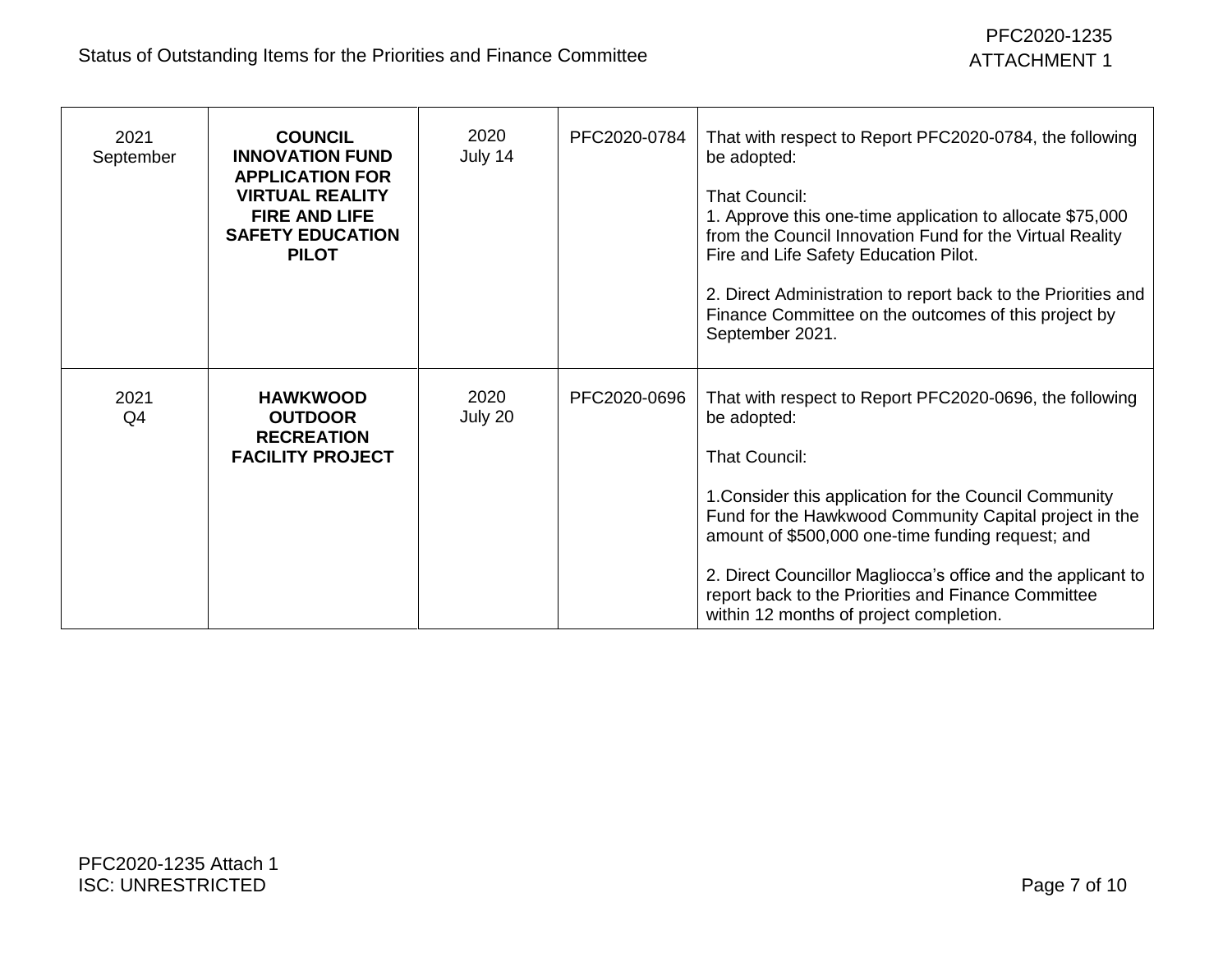## PFC2020-1235 ATTACHMENT 1

| 2021<br>September | <b>COUNCIL</b><br><b>INNOVATION FUND</b><br><b>APPLICATION FOR</b><br><b>VIRTUAL REALITY</b><br><b>FIRE AND LIFE</b><br><b>SAFETY EDUCATION</b><br><b>PILOT</b> | 2020<br>July 14 | PFC2020-0784 | That with respect to Report PFC2020-0784, the following<br>be adopted:<br><b>That Council:</b><br>1. Approve this one-time application to allocate \$75,000<br>from the Council Innovation Fund for the Virtual Reality<br>Fire and Life Safety Education Pilot.<br>2. Direct Administration to report back to the Priorities and<br>Finance Committee on the outcomes of this project by<br>September 2021.                              |
|-------------------|-----------------------------------------------------------------------------------------------------------------------------------------------------------------|-----------------|--------------|-------------------------------------------------------------------------------------------------------------------------------------------------------------------------------------------------------------------------------------------------------------------------------------------------------------------------------------------------------------------------------------------------------------------------------------------|
| 2021<br>Q4        | <b>HAWKWOOD</b><br><b>OUTDOOR</b><br><b>RECREATION</b><br><b>FACILITY PROJECT</b>                                                                               | 2020<br>July 20 | PFC2020-0696 | That with respect to Report PFC2020-0696, the following<br>be adopted:<br><b>That Council:</b><br>1. Consider this application for the Council Community<br>Fund for the Hawkwood Community Capital project in the<br>amount of \$500,000 one-time funding request; and<br>2. Direct Councillor Magliocca's office and the applicant to<br>report back to the Priorities and Finance Committee<br>within 12 months of project completion. |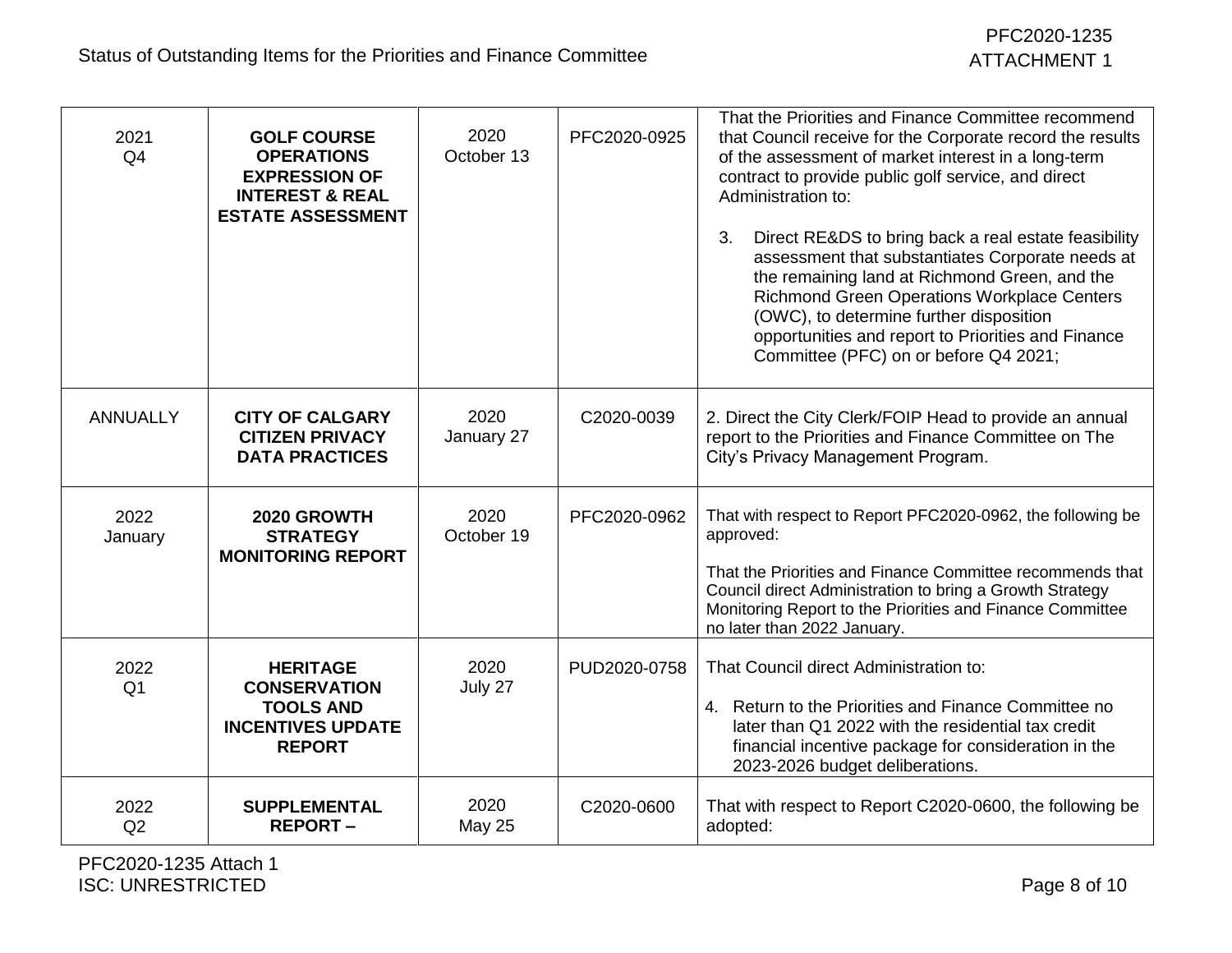| 2021<br>Q <sub>4</sub> | <b>GOLF COURSE</b><br><b>OPERATIONS</b><br><b>EXPRESSION OF</b><br><b>INTEREST &amp; REAL</b><br><b>ESTATE ASSESSMENT</b> | 2020<br>October 13    | PFC2020-0925 | That the Priorities and Finance Committee recommend<br>that Council receive for the Corporate record the results<br>of the assessment of market interest in a long-term<br>contract to provide public golf service, and direct<br>Administration to:<br>3.<br>Direct RE&DS to bring back a real estate feasibility<br>assessment that substantiates Corporate needs at<br>the remaining land at Richmond Green, and the<br>Richmond Green Operations Workplace Centers<br>(OWC), to determine further disposition<br>opportunities and report to Priorities and Finance<br>Committee (PFC) on or before Q4 2021; |
|------------------------|---------------------------------------------------------------------------------------------------------------------------|-----------------------|--------------|------------------------------------------------------------------------------------------------------------------------------------------------------------------------------------------------------------------------------------------------------------------------------------------------------------------------------------------------------------------------------------------------------------------------------------------------------------------------------------------------------------------------------------------------------------------------------------------------------------------|
| <b>ANNUALLY</b>        | <b>CITY OF CALGARY</b><br><b>CITIZEN PRIVACY</b><br><b>DATA PRACTICES</b>                                                 | 2020<br>January 27    | C2020-0039   | 2. Direct the City Clerk/FOIP Head to provide an annual<br>report to the Priorities and Finance Committee on The<br>City's Privacy Management Program.                                                                                                                                                                                                                                                                                                                                                                                                                                                           |
| 2022<br>January        | 2020 GROWTH<br><b>STRATEGY</b><br><b>MONITORING REPORT</b>                                                                | 2020<br>October 19    | PFC2020-0962 | That with respect to Report PFC2020-0962, the following be<br>approved:<br>That the Priorities and Finance Committee recommends that<br>Council direct Administration to bring a Growth Strategy<br>Monitoring Report to the Priorities and Finance Committee<br>no later than 2022 January.                                                                                                                                                                                                                                                                                                                     |
| 2022<br>Q <sub>1</sub> | <b>HERITAGE</b><br><b>CONSERVATION</b><br><b>TOOLS AND</b><br><b>INCENTIVES UPDATE</b><br><b>REPORT</b>                   | 2020<br>July 27       | PUD2020-0758 | That Council direct Administration to:<br>4. Return to the Priorities and Finance Committee no<br>later than Q1 2022 with the residential tax credit<br>financial incentive package for consideration in the<br>2023-2026 budget deliberations.                                                                                                                                                                                                                                                                                                                                                                  |
| 2022<br>Q2             | <b>SUPPLEMENTAL</b><br><b>REPORT-</b>                                                                                     | 2020<br><b>May 25</b> | C2020-0600   | That with respect to Report C2020-0600, the following be<br>adopted:                                                                                                                                                                                                                                                                                                                                                                                                                                                                                                                                             |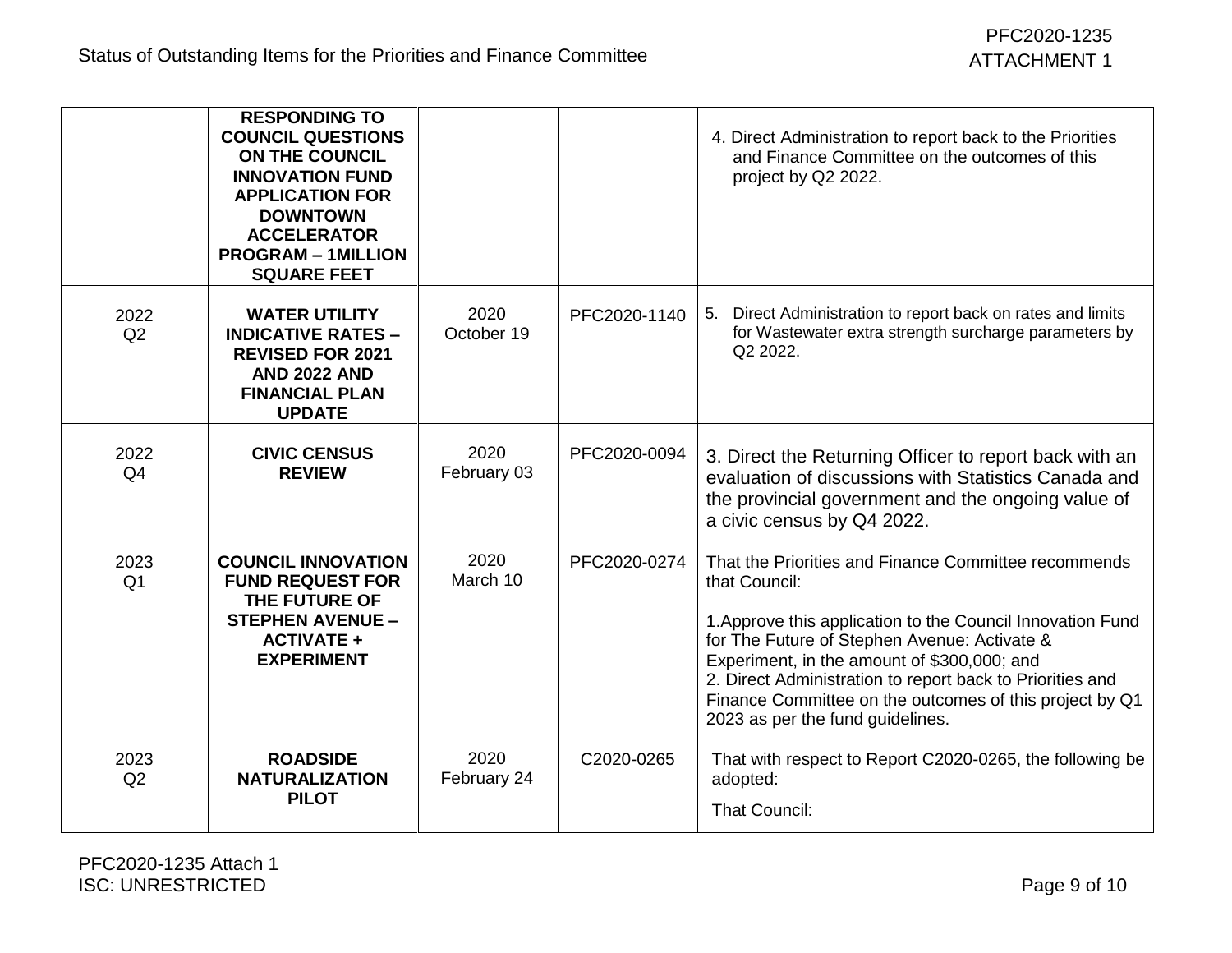|                        | <b>RESPONDING TO</b><br><b>COUNCIL QUESTIONS</b><br>ON THE COUNCIL<br><b>INNOVATION FUND</b><br><b>APPLICATION FOR</b><br><b>DOWNTOWN</b><br><b>ACCELERATOR</b><br><b>PROGRAM - 1MILLION</b><br><b>SQUARE FEET</b> |                     |              | 4. Direct Administration to report back to the Priorities<br>and Finance Committee on the outcomes of this<br>project by Q2 2022.                                                                                                                                                                                                                                                              |
|------------------------|--------------------------------------------------------------------------------------------------------------------------------------------------------------------------------------------------------------------|---------------------|--------------|------------------------------------------------------------------------------------------------------------------------------------------------------------------------------------------------------------------------------------------------------------------------------------------------------------------------------------------------------------------------------------------------|
| 2022<br>Q2             | <b>WATER UTILITY</b><br><b>INDICATIVE RATES -</b><br><b>REVISED FOR 2021</b><br><b>AND 2022 AND</b><br><b>FINANCIAL PLAN</b><br><b>UPDATE</b>                                                                      | 2020<br>October 19  | PFC2020-1140 | 5. Direct Administration to report back on rates and limits<br>for Wastewater extra strength surcharge parameters by<br>Q2 2022.                                                                                                                                                                                                                                                               |
| 2022<br>Q <sub>4</sub> | <b>CIVIC CENSUS</b><br><b>REVIEW</b>                                                                                                                                                                               | 2020<br>February 03 | PFC2020-0094 | 3. Direct the Returning Officer to report back with an<br>evaluation of discussions with Statistics Canada and<br>the provincial government and the ongoing value of<br>a civic census by Q4 2022.                                                                                                                                                                                             |
| 2023<br>Q <sub>1</sub> | <b>COUNCIL INNOVATION</b><br><b>FUND REQUEST FOR</b><br>THE FUTURE OF<br><b>STEPHEN AVENUE -</b><br><b>ACTIVATE +</b><br><b>EXPERIMENT</b>                                                                         | 2020<br>March 10    | PFC2020-0274 | That the Priorities and Finance Committee recommends<br>that Council:<br>1. Approve this application to the Council Innovation Fund<br>for The Future of Stephen Avenue: Activate &<br>Experiment, in the amount of \$300,000; and<br>2. Direct Administration to report back to Priorities and<br>Finance Committee on the outcomes of this project by Q1<br>2023 as per the fund guidelines. |
| 2023<br>Q2             | <b>ROADSIDE</b><br><b>NATURALIZATION</b><br><b>PILOT</b>                                                                                                                                                           | 2020<br>February 24 | C2020-0265   | That with respect to Report C2020-0265, the following be<br>adopted:<br><b>That Council:</b>                                                                                                                                                                                                                                                                                                   |